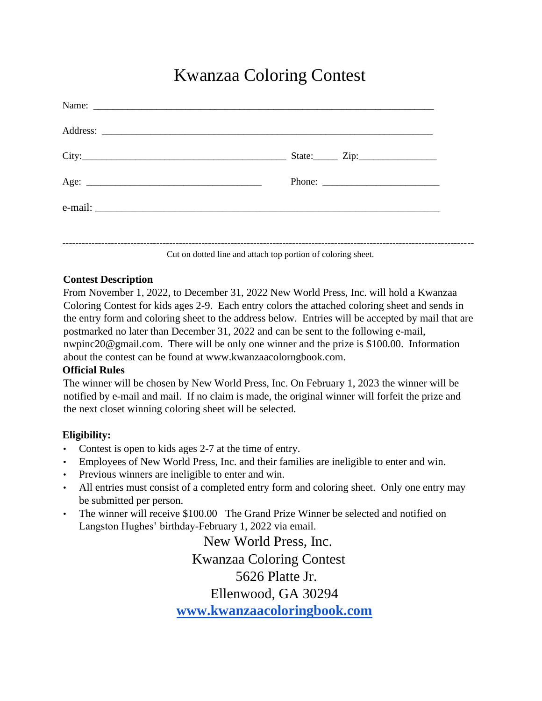## Kwanzaa Coloring Contest

Cut on dotted line and attach top portion of coloring sheet.

## **Contest Description**

From November 1, 2022, to December 31, 2022 New World Press, Inc. will hold a Kwanzaa Coloring Contest for kids ages 2-9. Each entry colors the attached coloring sheet and sends in the entry form and coloring sheet to the address below. Entries will be accepted by mail that are postmarked no later than December 31, 2022 and can be sent to the following e-mail, nwpinc20@gmail.com. There will be only one winner and the prize is \$100.00. Information about the contest can be found at www.kwanzaacolorngbook.com.

## **Official Rules**

The winner will be chosen by New World Press, Inc. On February 1, 2023 the winner will be notified by e-mail and mail. If no claim is made, the original winner will forfeit the prize and the next closet winning coloring sheet will be selected.

## **Eligibility:**

- Contest is open to kids ages 2-7 at the time of entry.
- Employees of New World Press, Inc. and their families are ineligible to enter and win.
- Previous winners are ineligible to enter and win.
- All entries must consist of a completed entry form and coloring sheet. Only one entry may be submitted per person.
- The winner will receive \$100.00 The Grand Prize Winner be selected and notified on Langston Hughes' birthday-February 1, 2022 via email.

 New World Press, Inc. Kwanzaa Coloring Contest 5626 Platte Jr. Ellenwood, GA 30294 **www.kwanzaacoloringbook.com**